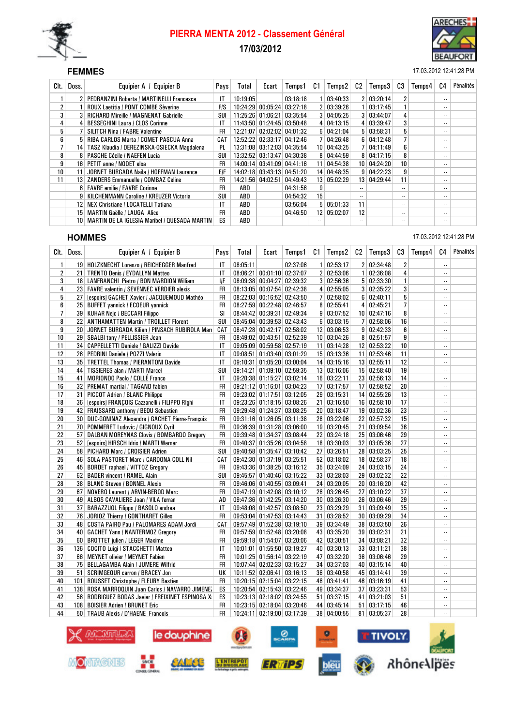

# PIERRA MENTA 2012 - Classement Général 17/03/2012



#### SEF **FEMMES** 17.03.2012 12:41:28 PM

| Clt. I          | Doss.           | Equipier A / Equipier B                              | Pays       | Total    | Ecart | Temps1                     | C1              | Temps2       | C2        | Temps3       | C3                       | Temps4 | C4                       | Pénalités |
|-----------------|-----------------|------------------------------------------------------|------------|----------|-------|----------------------------|-----------------|--------------|-----------|--------------|--------------------------|--------|--------------------------|-----------|
|                 |                 | <b>PEDRANZINI Roberta / MARTINELLI Francesca</b>     | IT         | 10:19:05 |       | 03:18:18                   |                 | 03:40:33     |           | 2   03:20:14 | 2                        |        | $\overline{\phantom{a}}$ |           |
| $\overline{2}$  |                 | <b>ROUX Laetitia / PONT COMBE Sèverine</b>           | <b>FIS</b> | 10:24:29 |       | 00:05:24 03:27:18          |                 | 2   03:39:26 |           | 03:17:45     |                          |        | $\overline{\phantom{a}}$ |           |
| 3               |                 | <b>RICHARD Mireille / MAGNENAT Gabrielle</b>         | SUI        |          |       | 11:25:26 01:06:21 03:35:54 |                 | 3   04:05:25 |           | 3   03:44:07 | 4                        |        | $\overline{\phantom{a}}$ |           |
| 4               |                 | <b>BESSEGHINI Laura / CLOS Corinne</b>               | IT         |          |       | 11:43:50 01:24:45 03:50:48 |                 | 4   04:13:15 |           | 4 03:39:47   | 3                        |        | $\overline{\phantom{a}}$ |           |
| 5               |                 | <b>SILITCH Nina / FABRE Valentine</b>                | FR         | 12:21:07 |       | $02:02:02$ 04:01:32        |                 | 6   04:21:04 |           | 5   03:58:31 | 5                        |        | $\overline{\phantom{a}}$ |           |
| 6               |                 | <b>RIBA CARLOS Marta / COMET PASCUA Anna</b>         | CAT        |          |       | 12:52:22 02:33:17 04:12:46 |                 | 04:26:48     |           | 6 04:12:48   |                          |        | $\overline{\phantom{a}}$ |           |
|                 | 14              | TASZ Klaudia / DEREZINSKA-OSIECKA Magdalena          | PL         |          |       | 13:31:08 03:12:03 04:35:54 |                 | 10 04:43:25  |           | 7   04:11:49 | 6                        |        | $\overline{\phantom{a}}$ |           |
| 8               |                 | <b>PASCHE Cécile / NAEFEN Lucia</b>                  | SUI        |          |       | 13:32:52 03:13:47 04:30:38 |                 | 8   04:44:59 |           | 8   04:17:15 | 8                        |        | $\overline{\phantom{a}}$ |           |
| 9               | 16              | PETIT anne / NODET elsa                              | <b>FR</b>  |          |       | 14:00:14 03:41:09 04:41:16 | 11              | 04:54:38     |           | 10 04:24:20  | 10 <sup>1</sup>          |        | $\overline{\phantom{a}}$ |           |
| 10 <sup>1</sup> |                 | JORNET BURGADA Naila / HOFFMAN Laurence              | E/F        |          |       | 14:02:18 03:43:13 04:51:20 |                 | 14 04:48:35  |           | 9   04:22:23 | 9                        |        | $\overline{\phantom{a}}$ |           |
| 11              | 13 <sup>1</sup> | <b>ZANDERS Emmanuelle / COMBAZ Celine</b>            | FR         |          |       | 14:21:56 04:02:51 04:49:43 | 13 <sup>1</sup> | 05:02:29     |           | 13 04:29:44  | 11                       |        | $\overline{\phantom{a}}$ |           |
|                 |                 | 6   FAVRE emilie / FAVRE Corinne                     | FR         | ABD      |       | 04:31:56                   | 9               |              |           |              | $\overline{\phantom{a}}$ |        | $\overline{\phantom{a}}$ |           |
|                 | 9 <sup>1</sup>  | KILCHENMANN Caroline / KREUZER Victoria              | SUI        | ABD      |       | 04:54:32                   | 15              |              | $\ddotsc$ |              |                          |        | $\overline{\phantom{a}}$ |           |
|                 | 12              | NEX Christiane / LOCATELLI Tatiana                   | IT         | ABD      |       | 03:56:04                   |                 | 5   05:01:33 | 11        |              | $\overline{\phantom{a}}$ |        | $\overline{\phantom{a}}$ |           |
|                 | 15              | <b>MARTIN Gaëlle / LAUGA Alice</b>                   | <b>FR</b>  | ABD      |       | 04:46:50                   | 12 <sup>1</sup> | 05:02:07     | 12        |              | $\overline{\phantom{a}}$ |        | $\overline{\phantom{a}}$ |           |
|                 | 10              | <b>MARTIN DE LA IGLESIA Maribel / QUESADA MARTIN</b> | ES         | ABD      |       |                            |                 |              | $\ddotsc$ |              | $\overline{\phantom{a}}$ |        | $\overline{\phantom{a}}$ |           |

#### **HOMMES** 17.03.2012 12:41:28 PM

Clt. | Doss. | Equipier A / Equipier B | Pays | Total | Ecart | Temps1 | C1 | Temps2 | C2 | Temps3 | C3 | Temps4 | C4 | Pénalités 1 19 HOLZKNECHT Lorenzo / REICHEGGER Manfred | IT 08:05:11 02:37:06 1 02:53:17 2 02:34:48 2 2 21 TRENTO Denis / EYDALLYN Matteo IT 08:06:21 00:01:10 02:37:07 2 02:53:06 1 02:36:08 4 ---<br>3 18 LANFRANCHI Pietro / BON MARDION William IF 08:09:38 00:04:27 02:39:32 3 02:56:36 5 02:33:30 1 ----------3 18 LANFRANCHI Pietro / BON MARDION William | I/F 08:09:38 00:04:27 02:39:32 3 02:56:36 5 02:33:30 1 --4 23 FAVRE valentin / SEVENNEC VERDIER alexis FR 08:13:05 00:07:54 02:42:38 4 02:55:05 3 02:35:22 3 --5 27 [espoirs] GACHET Xavier / JACQUEMOUD Mathéo FR 08:22:03 00:16:52 02:43:50 7 02:58:02 6 02:40:11 5 -- 6 25 BUFFET yannick / ECOEUR yannick FR 08:27:59 00:22:48 02:46:57 8 02:55:41 4 02:45:21 7 -- 7 39 KUHAR Nejc / BECCARI Filippo SI 08:44:42 00:39:31 02:49:34 9 03:07:52 10 02:47:16 8 --8 22 ANTHAMATTEN Martin / TROILLET Florent SUI 08:45:04 00:39:53 02:43:43 6 03:03:15 7 02:58:06 16 ---<br>9 20 JORNET BURGADA Kilian / PINSACH RUBIROLA Martie CAT 08:47:28 00:42:17 02:58:02 12 03:06:53 9 02:42:33 6 -9 20 JORNET BURGADA Kilian / PINSACH BURIROLA Marc CAT | 08:47:28 00:42:17 02:58:02 | 12 03:06:53 9 02:42:33 6 ---10 29 SBALBI tony / PELLISSIER Jean FR 08:49:02 00:43:51 02:52:39 10 03:04:26 8 02:51:57 9 --11 34 CAPPELLETTI Daniele / GALIZZI Davide IT 09:05:09 00:59:58 02:57:19 11 03:14:28 12 02:53:22 10 ----------<br>12 26 PEDRINI Daniele / POZZI Valerio IT 09:08:51 01:03:40 03:01:29 15 03:13:36 11 02:53:46 11 ---------------12 26 PEDRINI Daniele / POZZI Valerio IT 09:08:51 01:03:40 03:01:29 15 03:13:36 11 02:53:46 11 ---13 35 TRETTEL Thomas / PIERANTONI Davide IT 09:10:31 01:05:20 03:00:04 14 03:15:16 13 02:55:11 12 -- 14 44 TISSIERES alan / MARTI Marcel SUI 09:14:21 01:09:10 02:59:35 13 03:16:06 15 02:58:40 19 -- 15 41 MORIONDO Paolo / COLLÉ Franco IT 09:20:38 01:15:27 03:02:14 16 03:22:11 23 02:56:13 14 -- 16 32 PREMAT martial / TAGAND fabien FR 09:21:12 01:16:01 03:04:23 17 03:17:57 17 02:58:52 20 --17 31 PICCOT Adrien / BLANC Philippe FR 09:23:02 01:17:51 03:12:05 29 03:15:31 14 02:55:26 13 --18 36 [espoirs] FRANÇOIS Cazzanelli / FILIPPO RIghi IT 09:23:26 01:18:15 03:08:26 21 03:16:50 16 02:58:10 17 -19 42 FRAISSARD anthony / BEDU Sebastien FR 09:29:48 01:24:37 03:08:25 20 03:18:47 19 03:02:36 23 ---<br>20 30 DUC-GONINAZ Alexandre / GACHET Pierre-François FR 09:31:16 01:26:05 03:11:38 28 03:22:06 22 02:57:32 15 20 30 DUC-GONINAZ Alexandre / GACHET Pierre-François FR 09:31:16 01:26:05 03:11:38 28 03:22:06 22 02:57:32 15 -- 21 70 POMMERET Ludovic / GIGNOUX Cyril FR 09:36:39 01:31:28 03:06:00 19 03:20:45 21 03:09:54 36 -- 22 57 DALBAN MOREYNAS Clovis / BOMBARDO Gregory FR 09:39:48 01:34:37 03:08:44 22 03:24:18 25 03:06:46 29 --23 52 [espoirs] HIRSCH Idris / MARTI Werner FR 09:40:37 01:35:26 03:04:58 18 03:30:03 32 03:05:36 27 -- 24 58 PICHARD Marc / CROISIER Adrien SUI 09:40:58 01:35:47 03:10:42 27 03:26:51 28 03:03:25 25 ---------------<br>25 46 SOLA PASTORET Marc / CARDONA COLL Nil CAT 09:42:30 01:37:19 03:25:51 52 03:18:02 18 02:58:37 18 --------25 46 SOLA PASTORET Marc / CARDONA COLL Nil CAT 09:42:30 01:37:19 03:25:51 52 03:18:02 18 02:58:37 18 -- 26 45 BORDET raphael / VITTOZ Gregory FR 09:43:36 01:38:25 03:16:12 35 03:24:09 24 03:03:15 24 -- 27 62 BADER vincent / RAMEL Alain SUI 09:45:57 01:40:46 03:15:22 33 03:28:03 29 03:02:32 22 --28 38 BLANC Steven / BONNEL Alexis FR 09:46:06 01:40:55 03:09:41 24 03:20:05 20 03:16:20 42 -- 29 67 NOVERO Laurent / ARVIN-BEROD Marc FR 09:47:19 01:42:08 03:10:12 26 03:26:45 27 03:10:22 37 ---30 49 ALBOS CAVALIERE Joan / VILA ferran 4D 09:47:36 01:42:25 03:14:20 30 03:26:30 26 03:06:46 29 --31 37 BARAZZUOL Filippo / BASOLO andrea | IT | 09:48:08 | 01:42:57 | 03:08:50 23 | 03:29:29 | 31 | 03:09:49 | 35 32 76 JORIOZ Thierry / GONTHARET Gilles FR 09:53:04 01:47:53 03:14:43 31 03:28:52 30 03:09:29 34 -- 33 48 COSTA PAIRO Pau / PALOMARES ADAM Jordi CAT 09:57:49 01:52:38 03:19:10 39 03:34:49 38 03:03:50 26 ---34 40 GACHET Yann / NANTERMOZ Gregory FR 09:57:59 01:52:48 03:20:08 43 03:35:20 39 03:02:31 21 35 60 BROTTET julien / LEGER Maxime FR 09:59:18 01:54:07 03:20:06 42 03:30:51 34 03:08:21 32 -- 36 136 COCITO Luigi / STACCHETTI Matteo IT 10:01:01 01:55:50 03:19:27 40 03:30:13 33 03:11:21 38 ---37 66 MEYNET olivier / MEYNET Fabien Fabien FR 10:01:25 01:56:14 03:22:19 47 03:32:20 36 03:06:46 29 --38 75 BELLAGAMBA Alain / JUMERE Wilfrid FR 10:07:44 02:02:33 03:15:27 34 03:37:03 40 03:15:14 40 -- 39 51 SCRIMGEOUR carron / BRACEY Jon UK 10:11:52 02:06:41 03:16:13 36 03:40:58 45 03:14:41 39 -- ROUSSET Christophe / FLEURY Bastien 41 138 ROSA MARROQUIN Juan Carlos / NAVARRO JIMENEZ ES 10:20:54 02:15:43 03:22:46 49 03:34:37 37 03:23:31 53 --<br>42 56 RODRIGUEZ BODAS Javier / FREIXINET ESPINOSA X ES 10:23:13 02:18:02 03:24:55 51 03:37:15 41 03:21:03 51 -56 RODRIGUEZ BODAS Javier / FREIXINET ESPINOSA X ES 10:23:13 02:18:02 03:24:55 51 03:37:15 41 03:21:03 51 --43 108 BOISIER Adrien / BRUNET Eric FR 10:23:15 02:18:04 03:20:46 44 03:45:14 51 03:17:15 46 ---44 50 TRAUB Alexis / D'HAENE François FR 10:24:11 02:19:00 03:17:39 38 04:00:55 81 03:05:37 28 --

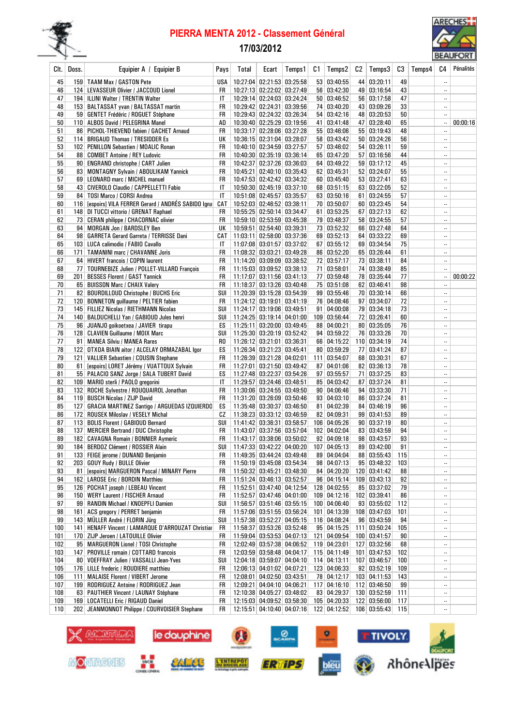

## PIERRA MENTA 2012 - Classement Général

## 17/03/2012



| Clt.       | Doss. | Equipier A / Equipier B                                                                       | Pays            | Total | Ecart                                                    | Temps1 | C1               | Temps2                        | C2 | Temps3                       | C3        | Temps4 | C4                       | <b>PELIOI AILI</b><br>Pénalités |
|------------|-------|-----------------------------------------------------------------------------------------------|-----------------|-------|----------------------------------------------------------|--------|------------------|-------------------------------|----|------------------------------|-----------|--------|--------------------------|---------------------------------|
| 45         |       | 159   TAAM Max / GASTON Pete                                                                  | USA             |       | 10:27:04 02:21:53 03:25:58                               |        |                  | 53   03:40:55                 |    | 44 03:20:11                  | 49        |        |                          |                                 |
| 46         |       | 124   LEVASSEUR Olivier / JACCOUD Lionel                                                      | FR              |       | 10:27:13 02:22:02 03:27:49                               |        |                  | 56 03:42:30                   |    | 49 03:16:54                  | 43        |        | $\ddotsc$                |                                 |
| 47         |       | 194   ILLINI Walter / TRENTIN Walter                                                          | IT              |       | 10:29:14 02:24:03 03:24:24                               |        |                  | 50   03:46:52                 |    | 56 03:17:58                  | 47        |        | $\ddotsc$                |                                 |
| 48         |       | 153   BALTASSAT yvan / BALTASSAT martin                                                       | FR              |       | 10:29:42 02:24:31 03:39:56                               |        |                  | 74 03:40:20                   |    | 43 03:09:26                  | 33        |        | $\ddotsc$                |                                 |
| 49         |       | 59   GENTET Frédéric / ROGUET Stéphane                                                        | FR              |       | 10:29:43 02:24:32 03:26:34                               |        | 54               | 03:42:16                      |    | 48 03:20:53                  | 50        |        |                          |                                 |
| 50         |       | 110 ALBOS David / PELEGRINA Manel                                                             | AD              |       | 10:30:40 02:25:29 03:19:56                               |        |                  | 41 03:41:48                   |    | 47 03:28:40                  | 65        |        | $\ldots$                 | 00:00:16                        |
| 51         |       | 86   PICHOL-THIEVEND fabien / GACHET Arnaud                                                   | FR              |       | 10:33:17 02:28:06 03:27:28                               |        |                  | 55 03:46:06                   |    | 55   03:19:43                | 48        |        |                          |                                 |
| 52<br>53   |       | 114 BRIGAUD Thomas / TRESIDDER Es                                                             | UK<br><b>FR</b> |       | 10:36:15 02:31:04 03:28:07<br>10:40:10 02:34:59 03:27:57 |        |                  | 58 03:43:42<br>57   03:46:02  |    | 50 03:24:26<br>54   03:26:11 | 56<br>59  |        | $\ddotsc$<br>$\ddotsc$   |                                 |
| 54         |       | 102   PENILLON Sebastien / MOALIC Ronan<br>88 COMBET Antoine / REY Ludovic                    | FR              |       | 10:40:30 02:35:19 03:36:14                               |        |                  | 65 03:47:20                   |    | 57   03:16:56                | 44        |        |                          |                                 |
| 55         |       | 90   ENGRAND christophe / CART Julien                                                         | FR              |       | 10:42:37 02:37:26 03:36:03                               |        |                  | 64 03:49:22                   |    | 59 03:17:12                  | 45        |        | $\ddotsc$                |                                 |
| 56         |       | 83 MONTAGNY Sylvain / ABOULIKAM Yannick                                                       | FR              |       | 10:45:21 02:40:10 03:35:43                               |        |                  | 62 03:45:31                   |    | 52 03:24:07                  | 55        |        | н.                       |                                 |
| 57         |       | 69 LEONARD marc / MICHEL manuel                                                               | FR              |       | 10:47:53 02:42:42 03:34:32                               |        |                  | 60 03:45:40                   |    | 53   03:27:41                | 63        |        | $\ddotsc$                |                                 |
| 58         |       | 43 CIVEROLO Claudio / CAPPELLETTI Fabio                                                       | IT              |       | 10:50:30 02:45:19 03:37:10                               |        |                  | 68 03:51:15                   |    | 63 03:22:05                  | 52        |        |                          |                                 |
| 59         | 84    | TOSI Marco / CORSI Andrea                                                                     | IT              |       | 10:51:08 02:45:57 03:35:57                               |        |                  | 63   03:50:16                 |    | 61 03:24:55                  | 57        |        | $\ddotsc$                |                                 |
| 60         |       | 116 [espoirs] VILA FERRER Gerard / ANDRES SABIDO Igna]                                        | CAT             |       | 10:52:03 02:46:52 03:38:11                               |        |                  | 70 03:50:07                   |    | 60 03:23:45                  | 54        |        | $\ddotsc$                |                                 |
| 61         |       | 148 DI TUCCI vittorio / GRENAT Raphael                                                        | FR              |       | 10:55:25 02:50:14 03:34:47                               |        | 61               | 03:53:25                      |    | 67   03:27:13                | 62        |        | $\ddotsc$                |                                 |
| 62         |       | 73   CERAN philippe / CHACORNAC olivier                                                       | FR              |       | 10:59:10 02:53:59 03:45:38                               |        |                  | 79 03:48:37                   |    | 58 03:24:55                  | 57        |        | $\ddotsc$                |                                 |
| 63         |       | 94 MORGAN Jon / BARDSLEY Ben                                                                  | UК<br>CAT       |       | 10:59:51 02:54:40 03:39:31                               |        |                  | 73 03:52:32<br>69 03:52:13    |    | 66 03:27:48<br>64 03:33:22   | 64        |        | <br>$\ddotsc$            |                                 |
| 64<br>65   |       | 98   GARRETA Gerard Garreta / TERRISSE Dani<br>103 LUCA calimodio / FABIO Cavallo             | IT              |       | 11:03:11 02:58:00 03:37:36<br>11:07:08 03:01:57 03:37:02 |        |                  | 67 03:55:12                   |    | 69 03:34:54                  | 69<br>75  |        |                          |                                 |
| 66         |       | 171   TAMANINI marc / CHAVANNE Joris                                                          | FR              |       | 11:08:32 03:03:21 03:49:28                               |        |                  | 86 03:52:20                   |    | 65 03:26:44                  | 61        |        | $\ddotsc$                |                                 |
| 67         |       | 64 HIVERT francois / COPIN laurent                                                            | FR              |       | 11:14:20 03:09:09 03:38:52                               |        |                  | 72 03:57:17                   |    | 73 03:38:11                  | 84        |        | $\ddotsc$                |                                 |
| 68         |       | 77   TOURNEBIZE Julien / POLLET-VILLARD François                                              | FR              |       | 11:15:03 03:09:52 03:38:13                               |        | 71               | 03:58:01                      |    | 74 03:38:49                  | 85        |        | $\overline{\phantom{a}}$ |                                 |
| 69         |       | 201   BESSES Florent / GAST Yannick                                                           | FR              |       | 11:17:07 03:11:56 03:41:13                               |        |                  | 77 03:59:48                   |    | 78 03:35:44                  | 77        |        | $\ldots$                 | 00:00:22                        |
| 70         |       | 65 BUISSON Marc / CHAIX Valery                                                                | FR              |       | 11:18:37 03:13:26 03:40:48                               |        |                  | 75 03:51:08                   |    | 62 03:46:41                  | 98        |        |                          |                                 |
| 71         |       | 82 BOURDILLOUD Christophe / BUCHS Eric                                                        | SUI             |       | 11:20:39 03:15:28 03:54:39                               |        |                  | 99 03:55:46                   |    | 70 03:30:14                  | 66        |        |                          |                                 |
| 72         |       | 120 BONNETON guillaume / PELTIER fabien                                                       | FR              |       | 11:24:12 03:19:01 03:41:19                               |        |                  | 76 04:08:46                   |    | 97   03:34:07                | 72        |        |                          |                                 |
| 73         |       | 145   FILLIEZ Nicolas / RIETHMANN Nicolas                                                     | SUI             |       | 11:24:17 03:19:06 03:49:51                               |        | 91               | 04:00:08                      |    | 79 03:34:18                  | 73        |        |                          |                                 |
| 74         |       | 140   BALDUCHELLI Yan / GABIOUD Jules henri                                                   | SUI             |       | 11:24:25 03:19:14 04:01:00                               |        |                  | 109 03:56:44                  |    | 72 03:26:41                  | 60        |        | $\ddotsc$                |                                 |
| 75         |       | 96 JUANJO goikoetxea / JAVIER tirapu                                                          | ES              |       | 11:25:11 03:20:00 03:49:45                               |        |                  | 88 04:00:21                   |    | 80 03:35:05                  | 76        |        | $\ddotsc$                |                                 |
| 76<br>77   |       | 128 CLAVIEN Guillaume / MOIX Marc<br>91   MANEA Silviu / MANEA Rares                          | SUI<br>RO.      |       | 11:25:30 03:20:19 03:52:42<br>11:26:12 03:21:01 03:36:31 |        |                  | 94   03:59:22<br>66 04:15:22  |    | 76 03:33:26<br>110 03:34:19  | 70<br>74  |        | $\ddotsc$<br>$\ldots$    |                                 |
| 78         |       | 122 OTXOA BIAIN aitor / ALCELAY ORMAZABAL Igor                                                | ES              |       | 11:26:34 03:21:23 03:45:41                               |        |                  | 80 03:59:29                   |    | 77 03:41:24                  | 87        |        |                          |                                 |
| 79         |       | 121   VALLIER Sebastien / COUSIN Stephane                                                     | FR              |       | 11:26:39 03:21:28 04:02:01                               |        |                  | $111 \mid 03:54:07$           |    | 68 03:30:31                  | 67        |        |                          |                                 |
| 80         | 61    | [espoirs] LORET Jérémy / VUATTOUX Sylvain                                                     | FR              |       | 11:27:01 03:21:50 03:49:42                               |        |                  | 87 04:01:06                   |    | 82 03:36:13                  | 78        |        |                          |                                 |
| 81         |       | 55   PALACIO SANZ Jorge / SALA TUBERT David                                                   | ES              |       | 11:27:48 03:22:37 03:54:26                               |        |                  | 97   03:55:57                 |    | 71 03:37:25                  | 83        |        |                          |                                 |
| 82         |       | 109   MARIO sterli / PAOLO gregorini                                                          | IT              |       | 11:29:57 03:24:46 03:48:51                               |        |                  | 85 04:03:42                   |    | 87 03:37:24                  | 81        |        | $\ddotsc$                |                                 |
| 83         |       | 132 ROCHE Sylvestre / ROUQUAIROL Jonathan                                                     | FR              |       | 11:30:06 03:24:55 03:49:50                               |        |                  | 90   04:06:46                 |    | 94 03:33:30                  | 71        |        | $\ddotsc$                |                                 |
| 84         |       | 119 BUSCH Nicolas / ZIJP David                                                                | FR              |       | 11:31:20 03:26:09 03:50:46                               |        | 93               | 04:03:10                      |    | 86 03:37:24                  | 81        |        |                          |                                 |
| 85         |       | 127   GRACIA MARTINEZ Santigo / ARGUEDAS IZQUIERDO                                            | ES              |       | 11:35:48 03:30:37 03:46:50                               |        | 81               | 04:02:39                      |    | 84 03:46:19                  | 96        |        |                          |                                 |
| 86         |       | 172 ROUSEK Miloslav / VESELY Michal                                                           | СZ              |       | 11:38:23 03:33:12 03:46:59                               |        |                  | 82 04:09:31                   |    | 99 03:41:53                  | 89        |        | н.                       |                                 |
| 87         |       | 113 BOLIS Florent / GABIOUD Bernard                                                           | SUI             |       | 11:41:42 03:36:31 03:58:57                               |        |                  | 106 04:05:26                  |    | 90 03:37:19                  | 80        |        | $\ddotsc$                |                                 |
| 88<br>89   |       | 137   MERCIER Bertrand / DUC Christophe                                                       | FR<br>FR        |       | 11:43:07 03:37:56 03:57:04<br>11:43:17 03:38:06 03:50:02 |        |                  | 102 04:02:04<br>92   04:09:18 |    | 83 03:43:59<br>98 03:43:57   | 94<br>93  |        | <br>$\ddotsc$            |                                 |
| 90         |       | 182 CAVAGNA Romain / BONNIER Aymeric<br>184   BERDOZ Clément / ROSSIER Alain                  | sui             |       | 11:47:33 03:42:22 04:00:20                               |        | 107 <sub>1</sub> | 04:05:13                      |    | 89 03:42:00                  | 91        |        |                          |                                 |
| 91         |       | 133   FEIGE jerome / DUNAND Benjamin                                                          | FR              |       | 11:49:35 03:44:24 03:49:48                               |        |                  | 89 04:04:04                   |    | 88 03:55:43                  | 115       |        |                          |                                 |
| 92         |       | 203   GOUY Rudy / BULLE Olivier                                                               | FR              |       | 11:50:19 03:45:08 03:54:34                               |        |                  | 98 04:07:13                   |    | 95 03:48:32                  | 103       |        |                          |                                 |
| 93         |       | 81 [espoirs] MARGUERON Pascal / MINARY Pierre                                                 | FR              |       | 11:50:32 03:45:21 03:48:30                               |        |                  | 84 04:20:20                   |    | 120 03:41:42                 | 88        |        |                          |                                 |
| 94         |       | 162   LAROSE Eric / BORDIN Matthieu                                                           | FR              |       | 11:51:24 03:46:13 03:52:57                               |        |                  | 96 04:15:14                   |    | 109 03:43:13                 | 92        |        |                          |                                 |
| 95         |       | 126 POCHAT joseph / LEBEAU Vincent                                                            | FR              |       | 11:52:51 03:47:40 04:12:54                               |        |                  | 128 04:02:55                  |    | 85 03:37:02                  | 79        |        |                          |                                 |
| 96         |       | 150 WERY Laurent / FISCHER Arnaud                                                             | FR              |       | 11:52:57 03:47:46 04:01:00                               |        |                  | 109 04:12:16                  |    | 102 03:39:41                 | 86        |        |                          |                                 |
| 97         |       | 99 RANDIN Michael / KNOEPFLI Damien                                                           | SUI             |       | 11:56:57 03:51:46 03:55:15                               |        |                  | 100 04:06:40                  |    | 93   03:55:02                | 112       |        |                          |                                 |
| 98         | 161   | ACS gregory / PERRET benjamin                                                                 | FR              |       | 11:57:06 03:51:55 03:56:24                               |        |                  | 101 04:13:39                  |    | 108 03:47:03                 | 101       |        |                          |                                 |
| 99         |       | 143 MÜLLER André / FLORIN Jürg                                                                | SUI             |       | 11:57:38 03:52:27 04:05:15<br>11:58:37 03:53:26 03:52:48 |        |                  | 116 04:08:24<br>95 04:15:25   |    | 96 03:43:59<br>111 03:50:24  | 94        |        | <br>                     |                                 |
| 100<br>101 |       | 141   HENAFF Vincent / LAMARQUE D'ARROUZAT Christian<br>170   ZIJP Jeroen / LATOUILLE Olivier | FR<br>FR        |       | 11:59:04 03:53:53 04:07:13                               |        |                  | 121 04:09:54                  |    | 100 03:41:57                 | 105<br>90 |        |                          |                                 |
| 102        |       | 95 MARGUERON Lionel / TOSI Christophe                                                         | FR              |       | 12:02:49 03:57:38 04:06:52                               |        |                  | 119 04:23:01                  |    | 127 03:32:56                 | 68        |        |                          |                                 |
| 103        |       | 147   PROVILLE romain / COTTARD francois                                                      | FR              |       | 12:03:59 03:58:48 04:04:17                               |        |                  | 115 04:11:49                  |    | 101 03:47:53                 | 102       |        |                          |                                 |
| 104        |       | 80   VOEFFRAY Julien / VASSALLI Jean-Yves                                                     | SUI             |       | 12:04:18 03:59:07 04:04:10                               |        |                  | $114$ 04:13:11                |    | 107 03:46:57                 | 100       |        |                          |                                 |
| 105        |       | 176   LILLE frederic / ROUDIERE matthieu                                                      | FR              |       | 12:06:13 04:01:02 04:07:21                               |        |                  | 123 04:06:33                  |    | 92 03:52:19                  | 109       |        |                          |                                 |
| 106        |       | 111   MALAISE Florent / VIBERT Jerome                                                         | FR              |       | 12:08:01 04:02:50 03:43:51                               |        |                  | 78 04:12:17                   |    | 103 04:11:53                 | 143       |        |                          |                                 |
| 107        |       | 199 RODRIGUEZ Antoine / RODRIGUEZ Jean                                                        | FR              |       | 12:09:21 04:04:10 04:06:21                               |        |                  | $117$ 04:16:10                |    | 112 03:46:50                 | 99        |        |                          |                                 |
| 108        |       | 63   PAUTHIER Vincent / LAUNAY Stéphane                                                       | FR              |       | 12:10:38 04:05:27 03:48:02                               |        |                  | 83 04:29:37                   |    | 130 03:52:59                 | 111       |        |                          |                                 |
| 109        |       | 169 LOCATELLI Eric / RIGAUD Daniel                                                            | FR              |       | 12:15:03 04:09:52 03:58:30                               |        |                  | 105 04:20:33                  |    | 122 03:56:00                 | 117       |        |                          |                                 |
| 110        |       | 202 JEANMONNOT Philippe / COURVOISIER Stephane                                                | FR              |       | 12:15:51 04:10:40 04:07:16                               |        |                  | 122 04:12:52                  |    | 106 03:55:43                 | 115       |        |                          |                                 |

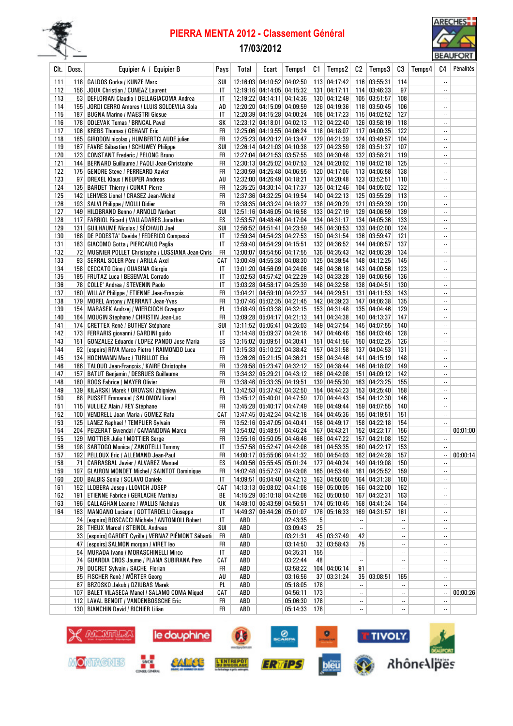

# PIERRA MENTA 2012 - Classement Général

## 17/03/2012



|            |       |                                                                        |           |       |                            |          |                  |                     |           |                     |          |        |                          | <b>DEMOI ONI</b> |
|------------|-------|------------------------------------------------------------------------|-----------|-------|----------------------------|----------|------------------|---------------------|-----------|---------------------|----------|--------|--------------------------|------------------|
| Clt.       | Doss. | Equipier A / Equipier B                                                | Pays      | Total | Ecart                      | Temps1   | C1               | Temps2              | C2        | Temps3              | C3       | Temps4 | C4                       | Pénalités        |
|            |       |                                                                        |           |       | 12:16:03 04:10:52 04:02:50 |          |                  | 113 04:17:42        |           | 116 03:55:31        | 114      |        |                          |                  |
| 111<br>112 |       | 118   GALDOS Gorka / KUNZE Marc<br>156 JOUX Christian / CUNEAZ Laurent | SUI<br>IT |       | 12:19:16 04:14:05 04:15:32 |          |                  | $131 \mid 04:17:11$ |           | 114 03:46:33        | 97       |        |                          |                  |
| 113        |       | 53   DEFLORIAN Claudio / DELLAGIACOMA Andrea                           | IT        |       | 12:19:22 04:14:11 04:14:36 |          |                  | 130 04:12:49        |           | 105 03:51:57        | 108      |        | $\ldots$                 |                  |
| 114        |       | 155 JORDI CERRO Amores / LLUIS SOLDEVILA Sola                          | AD        |       | 12:20:20 04:15:09 04:09:59 |          |                  | 126 04:19:36        |           | 118 03:50:45        | 106      |        |                          |                  |
| 115        |       | 187 BUGNA Marino / MAESTRI Giosue                                      | IT        |       | 12:20:39 04:15:28 04:00:24 |          |                  | 108 04:17:23        |           | 115 04:02:52        | 127      |        |                          |                  |
| 116        |       | 178 ODLEVAK Tomas / BRNCAL Pavel                                       | SΚ        |       | 12:23:12 04:18:01 04:02:13 |          |                  | 112 04:22:40        |           | 126 03:58:19        | 118      |        | $\ddotsc$                |                  |
| 117        |       | 106   KREBS Thomas / GEHANT Eric                                       | FR        |       | 12:25:06 04:19:55 04:06:24 |          |                  | 118 04:18:07        |           | 117 04:00:35        | 122      |        | $\ddotsc$                |                  |
| 118        |       | 165   GIRODON nicolas / HUMBERTCLAUDE julien                           | FR        |       | 12:25:23 04:20:12 04:13:47 |          |                  | 129 04:21:39        |           | 124 03:49:57        | 104      |        | $\overline{\phantom{a}}$ |                  |
| 119        |       | 167 FAVRE Sébastien / SCHUWEY Philippe                                 | SUI       |       | 12:26:14 04:21:03 04:10:38 |          |                  | 127 04:23:59        |           | 128 03:51:37        | 107      |        |                          |                  |
| 120        |       | 123 CONSTANT Frederic / PELONG Bruno                                   | FR        |       | 12:27:04 04:21:53 03:57:55 |          |                  | 103 04:30:48        |           | 132 03:58:21        | 119      |        | $\ddotsc$                |                  |
| 121        |       | 144   BERNARD Guillaume / PAOLI Jean-Christophe                        | FR        |       | 12:30:13 04:25:02 04:07:53 |          |                  | 124 04:20:02        |           | $119 \mid 04:02:18$ | 125      |        |                          |                  |
| 122        |       | 175   GENDRE Steve / PERREARD Xavier                                   | FR        |       | 12:30:59 04:25:48 04:06:55 |          |                  | 120 04:17:06        |           | 113 04:06:58        | 138      |        |                          |                  |
| 123        |       | 97   DREXEL Klaus / NEUPER Andreas                                     | AU        |       | 12:32:00 04:26:49 04:18:21 |          |                  | 137 04:20:48        |           | 123 03:52:51        | 110      |        |                          |                  |
| 124        |       | 135   BARDET Thierry / CUNAT Pierre                                    | FR        |       | 12:35:25 04:30:14 04:17:37 |          |                  | 135 04:12:46        |           | 104 04:05:02        | 132      |        | $\ddotsc$                |                  |
| 125        |       | 142   LEHMES Lionel / CRASEZ Jean-Michel                               | FR        |       | 12:37:36 04:32:25 04:19:54 |          |                  | 140 04:22:13        |           | 125 03:55:29        | 113      |        | $\overline{\phantom{a}}$ |                  |
| 126        |       | 193   SALVI Philippe / MOLLI Didier                                    | FR        |       | 12:38:35 04:33:24 04:18:27 |          |                  | 138 04:20:29        |           | 121 03:59:39        | 120      |        |                          |                  |
| 127        |       | 149 HILDBRAND Benno / ARNOLD Norbert                                   | SUI       |       | 12:51:16 04:46:05 04:16:58 |          |                  | 133 04:27:19        |           | 129 04:06:59        | 139      |        | $\ldots$                 |                  |
| 128        |       | 117   FARRIOL Ricard / VALLADARES Jonathan                             | ES        |       | 12:53:57 04:48:46 04:17:04 |          |                  | 134 04:31:17        |           | 134 04:05:36        | 133      |        | $\ddotsc$                |                  |
| 129        | 131   | <b>GUILHAUME Nicolas / SÉCHAUD Joel</b>                                | SUI       |       | 12:56:52 04:51:41 04:23:59 |          |                  | 145 04:30:53        |           | 133 04:02:00        | 124      |        | $\ldots$                 |                  |
| 130        |       | 168 DE PODESTA' Davide / FEDERICO Compassi                             | IT        |       | 12:59:34 04:54:23 04:27:53 |          |                  | 150 04:31:54        |           | 136 03:59:47        | 121      |        |                          |                  |
| 131        |       | 183   GIACOMO Gotta / PIERCARLO Paglia                                 | IT        |       | 12:59:40 04:54:29 04:15:51 |          |                  | 132 04:36:52        |           | 144 04:06:57        | 137      |        | $\ddotsc$                |                  |
| 132        |       | 72 MUGNIER POLLET Christophe / LUSSIANA Jean-Chris                     | FR        |       | 13:00:07 04:54:56 04:17:55 |          |                  | 136 04:35:43        |           | 142 04:06:29        | 134      |        | $\ddotsc$                |                  |
| 133        |       | 93   SERRAL SOLER Père / ARILLA Axel                                   | CAT       |       | 13:00:49 04:55:38 04:08:30 |          |                  | 125 04:39:54        |           | 148 04:12:25        | 145      |        | $\overline{\phantom{a}}$ |                  |
| 134        |       | 158   CECCATO Dino / GUASINA Giorgio                                   | IT        |       | 13:01:20 04:56:09 04:24:06 |          |                  | 146 04:36:18        |           | 143 04:00:56        | 123      |        | $\ldots$                 |                  |
| 135        |       | 185   FRUTAZ Luca / BESENVAL Corrado                                   | IT        |       | 13:02:53 04:57:42 04:22:29 |          |                  | 143 04:33:28        |           | 139 04:06:56        | 136      |        |                          |                  |
| 136        |       | 78 COLLE' Andrea / STEVENIN Paolo                                      | IT        |       | 13:03:28 04:58:17 04:25:39 |          |                  | 148 04:32:58        |           | 138 04:04:51        | 130      |        | $\ldots$                 |                  |
| 137        |       | 160   WILLAY Philippe / ETIENNE Jean-François                          | FR        |       | 13:04:21 04:59:10 04:22:37 |          |                  | 144 04:29:51        | 131       | 04:11:53            | 143      |        | $\ddotsc$                |                  |
| 138        |       | 179 MOREL Antony / MERRANT Jean-Yves                                   | FR        |       | 13:07:46 05:02:35 04:21:45 |          |                  | 142 04:39:23        |           | 147 04:06:38        | 135      |        |                          |                  |
| 139        |       | 154   MARASEK Andrzej / WIERCIOCH Grzegorz                             | PL        |       | 13:08:49 05:03:38 04:32:15 |          |                  | 153 04:31:48        |           | 135 04:04:46        | 129      |        | $\ddotsc$                |                  |
| 140        |       | 164   MOUGIN Stephane / CHRISTIN Jean-Luc                              | FR        |       | 13:09:28 05:04:17 04:21:13 |          |                  | 141 04:34:38        |           | 140 04:13:37        | 147      |        | $\overline{\phantom{a}}$ |                  |
| 141        |       | 174 CRETTEX René / BUTHEY Stéphane                                     | SUI       |       | 13:11:52 05:06:41 04:26:03 |          |                  | 149 04:37:54        |           | 145 04:07:55        | 140      |        | $\ldots$                 |                  |
| 142        |       | 173   FERRARIS giovanni / GARDINI guido                                | IT        |       | 13:14:48 05:09:37 04:24:16 |          |                  | 147 04:46:46        |           | 156 04:03:46        | 128      |        |                          |                  |
| 143        |       | 151   GONZALEZ Eduardo / LOPEZ PANDO Jose Maria                        | ES        |       | 13:15:02 05:09:51 04:30:41 |          | 151              | 04:41:56            |           | 150 04:02:25        | 126      |        | $\ldots$                 |                  |
| 144        |       | 92 [espoirs] RIVA Marco Pietro / RAIMONDO Luca                         | IT        |       | 13:15:33 05:10:22 04:38:42 |          | 157 <sup>2</sup> | 04:31:58            |           | 137 04:04:53        | 131      |        | $\ddotsc$                |                  |
| 145        |       | 134   HOCHMANN Marc / TURILLOT Eloi                                    | FR        |       | 13:26:26 05:21:15 04:36:21 |          |                  | 156 04:34:46        | 141       | 04:15:19            | 148      |        | $\ddotsc$                |                  |
| 146        |       | 186   TALOUD Jean-François / KAIRE Christophe                          | FR        |       | 13:28:58 05:23:47 04:32:12 |          |                  | 152 04:38:44        |           | 146 04:18:02        | 149      |        |                          |                  |
| 147        |       | 157   BATUT Benjamin / DESRUES Guillaume                               | FR        |       | 13:34:32 05:29:21 04:43:12 |          |                  | 166 04:42:08        |           | 151 04:09:12        | 142      |        |                          |                  |
| 148        |       | 180   ROOS Fabrice / MAYER Olivier                                     | FR        |       | 13:38:46 05:33:35 04:19:51 |          |                  | 139 04:55:30        |           | 163 04:23:25        | 155      |        | $\ddotsc$                |                  |
| 149        |       | 139 KILARSKI Marek / OROWSKI Zbigniew                                  | PL        |       | 13:42:53 05:37:42 04:32:50 |          |                  | 154 04:44:23        |           | 153 04:25:40        | 158      |        | $\ddotsc$                |                  |
| 150        |       | 68 PUSSET Emmanuel / SALOMON Lionel                                    | FR        |       | 13:45:12 05:40:01 04:47:59 |          |                  | 170 04:44:43        |           | 154 04:12:30        | 146      |        | $\ldots$                 |                  |
| 151        |       | 115 VULLIEZ Alain / REY Stéphane                                       | FR        |       | 13:45:28 05:40:17 04:47:49 |          |                  | 169 04:49:44        |           | 159 04:07:55        | 140      |        |                          |                  |
| 152        |       | 100 VENDRELL Joan Maria / GOMEZ Rafa                                   | CAT       |       | 13:47:45 05:42:34 04:42:18 |          |                  | 164 04:45:36        |           | 155 04:19:51        | 151      |        | $\ddotsc$                |                  |
| 153        |       | 125   LANEZ Raphael / TEMPLIER Sylvain                                 | FR        |       | 13:52:16 05:47:05 04:40:41 |          |                  | 158 04:49:17        |           | 158 04:22:18        | 154      |        |                          |                  |
| 154        |       | 204   PEIZERAT Gwendal / CAMANDONA Marco                               | FR        |       | 13:54:02 05:48:51 04:46:24 |          | 167              | 04:43:21            |           | 152 04:23:17        | 156      |        |                          | 00:01:00         |
| 155        |       | 129 MOTTIER Julie / MOTTIER Serge                                      | FR        |       | 13:55:16 05:50:05 04:46:46 |          |                  | 168 04:47:22        |           | 157 04:21:08        | 152      |        | $\ddotsc$                |                  |
| 156        |       | 198 SARTOGO Monica / ZANOTELLI Tommy                                   | IT        |       | 13:57:58 05:52:47 04:42:06 |          |                  | 161 04:53:35        |           | 160 04:22:17        | 153      |        | $\ddotsc$                |                  |
| 157        |       | 192   PELLOUX Eric / ALLEMAND Jean-Paul                                | FR        |       | 14:00:17 05:55:06 04:41:32 |          |                  | 160 04:54:03        |           | 162 04:24:28        | 157      |        |                          | 00:00:14         |
| 158        |       | 71 CARRASBAL Javier / ALVAREZ Manuel                                   | ES        |       | 14:00:56 05:55:45 05:01:24 |          |                  | 177 04:40:24        |           | 149 04:19:08        | 150      |        |                          |                  |
| 159        |       | 197   GLAIRON MONDET Michel / SAINTOT Dominique                        | FR        |       | 14:02:48 05:57:37 04:43:08 |          |                  | 165 04:53:48        |           | 161 04:25:52        | 159      |        |                          |                  |
| 160        |       | 200 BALBIS Sonia / SCLAVO Daniele                                      | IT        |       | 14:09:51 06:04:40 04:42:13 |          |                  | 163 04:56:00        |           | 164 04:31:38        | 160      |        |                          |                  |
| 161        |       | 152 LLOBERA Josep / LLOVICH JOSEP                                      | CAT       |       | 14:13:13 06:08:02 04:41:08 |          |                  | 159 05:00:05        |           | 166 04:32:00        | 162      |        |                          |                  |
| 162        |       | 191   ETIENNE Fabrice / GERLACHE Mathieu                               | BE        |       | 14:15:29 06:10:18 04:42:08 |          |                  | 162 05:00:50        |           | 167 04:32:31        | 163      |        |                          |                  |
| 163        |       | 196   CALLAGHAN Leanne / WALLIS Nicholas                               | UК        |       | 14:49:10 06:43:59 04:56:51 |          |                  | 174 05:10:45        |           | 168 04:41:34        | 164      |        |                          |                  |
| 164        |       | 163 MANGANO Luciano / GOTTARDELLI Giuseppe                             | IT        |       | 14:49:37 06:44:26 05:01:07 |          |                  | 176 05:16:33        |           | 169 04:31:57        | 161      |        |                          |                  |
|            |       | 24 [espoirs] BOSCACCI Michele / ANTONIOLI Robert                       | IT        | ABD   |                            | 02:43:35 | 5 <sup>1</sup>   |                     | $\ldots$  |                     |          |        |                          |                  |
|            |       | 28 THEUX Marcel / STEINDL Andreas                                      | SUI       | ABD   |                            | 03:09:43 | 25               |                     | $\ldots$  |                     |          |        |                          |                  |
|            |       | 33 [espoirs] GARDET Cyrille / VERNAZ PIÉMONT Sébasti                   | FR        | ABD   |                            | 03:21:31 |                  | 45 03:37:49         | 42        |                     |          |        |                          |                  |
|            |       | 47 [espoirs] SALMON morgan / VIRET leo                                 | FR        | ABD   |                            | 03:14:50 |                  | 32 03:58:43         | 75        |                     |          |        | $\ddotsc$                |                  |
|            |       | 54 MURADA Ivano / MORASCHINELLI Mirco                                  | IT        | ABD   |                            | 04:35:31 | 155              |                     | $\ldots$  |                     |          |        |                          |                  |
|            |       | 74   GUARDIA CROS Jaume / PLANA SUBIRANA Pere                          | CAT       | ABD   |                            | 03:22:44 | 48               |                     | $\ldots$  |                     |          |        |                          |                  |
|            |       | 79 DUCRET Sylvain / SACHE Florian                                      | FR        | ABD   |                            | 03:58:22 |                  | 104 04:06:14        | 91        |                     | $\ldots$ |        |                          |                  |
|            |       | 85 FISCHER Renè / WÖRTER Georg                                         | AU        | ABD   |                            | 03:16:56 |                  | 37 03:31:24         |           | 35   03:08:51       | 165      |        |                          |                  |
|            |       | 87 BRZOSKO Jakub / DZIUBAS Marek                                       | PL        | ABD   |                            | 05:18:05 | 178              |                     | $\ddotsc$ |                     | <br>     |        |                          |                  |
|            |       | 107   BALET VILASECA Manel / SALAMO COMA Miquel                        | CAT<br>FR | ABD   |                            | 04:56:11 | 173<br>178       |                     | $\ldots$  |                     |          |        | <br>$\ddotsc$            | 00:00:26         |
|            |       | 112 LAVAL BENOIT / VANDENBOSSCHE Eric                                  |           | ABD   |                            | 05:06:30 |                  |                     | $\ddotsc$ |                     |          |        |                          |                  |
|            |       | 130 BIANCHIN David / RICHIER Lilian                                    | FR        | ABD   |                            | 05:14:33 | 178              |                     | $\ddotsc$ |                     |          |        |                          |                  |

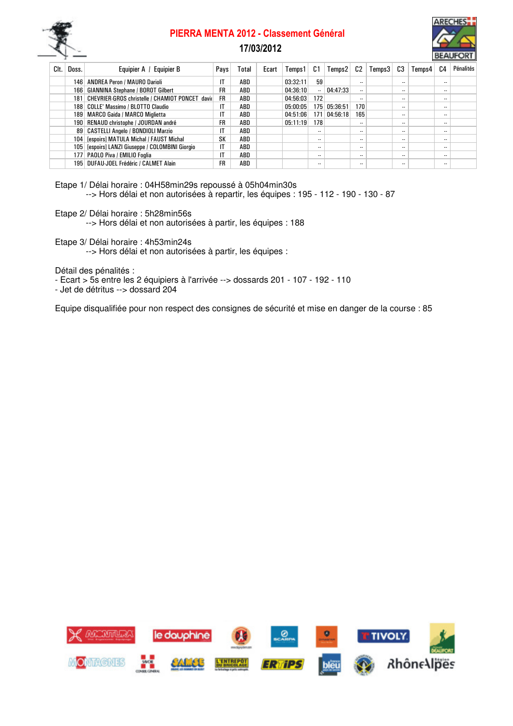

## PIERRA MENTA 2012 - Classement Général



### 17/03/2012

| Clt. | Doss. | Equipier A /<br><b>Equipier B</b>                   | Pays | Total      | Ecart | Temps 1  | C1        | Temps2   | C2                       | Temps3 | C3                       | Temps4 | C4        | Pénalités |
|------|-------|-----------------------------------------------------|------|------------|-------|----------|-----------|----------|--------------------------|--------|--------------------------|--------|-----------|-----------|
|      |       | 146   ANDREA Peron / MAURO Darioli                  | IT   | ABD        |       | 03:32:11 | 59        |          |                          |        |                          |        |           |           |
|      |       | 166   GIANNINA Stephane / BOROT Gilbert             | FR   | ABD        |       | 04:36:10 | $\ddotsc$ | 04:47:33 |                          |        | $\overline{\phantom{a}}$ |        | $\ddotsc$ |           |
|      |       | 181 CHEVRIER-GROS christelle / CHAMIOT PONCET david | FR   | ABD        |       | 04:56:03 | 172       |          |                          |        | $\overline{\phantom{a}}$ |        | $\ddotsc$ |           |
|      |       | 188   COLLE' Massimo / BLOTTO Claudio               | IT   | ABD        |       | 05:00:05 | 175       | 05:36:51 | 170                      |        | $\cdot$ .                |        | $\cdot$ . |           |
|      |       | 189   MARCO Gaida / MARCO Miglietta                 | IT   | ABD        |       | 04:51:06 | 171       | 04:56:18 | 165                      |        | $\overline{\phantom{a}}$ |        | $\cdot$ . |           |
|      |       | 190 RENAUD christophe / JOURDAN andré               | FR   | ABD        |       | 05:11:19 | 178       |          |                          |        | $\sim$                   |        | $\cdot$ . |           |
|      |       | 89   CASTELLI Angelo / BONDIOLI Marzio              | IT   | ABD        |       |          |           |          | $\ddotsc$                |        | $\sim$                   |        | $\cdot$ . |           |
|      |       | 104 [espoirs] MATULA Michal / FAUST Michal          | SK   | ABD        |       |          | $\cdot$ . |          | $\cdot$                  |        | $\cdot$ .                |        | $\cdot$ . |           |
|      |       | 105 [espoirs] LANZI Giuseppe / COLOMBINI Giorgio    | IT   | <b>ABD</b> |       |          | $\cdot$ . |          | $\cdot$                  |        | $\cdot$ .                |        | $\cdot$ . |           |
|      |       | 177   PAOLO Piva / EMILIO Foglia                    | IT   | ABD        |       |          | $\cdot$ . |          | $\overline{\phantom{a}}$ |        | $\cdot$ .                |        | $\ddotsc$ |           |
|      |       | 195 DUFAU-JOEL Frédéric / CALMET Alain              | FR   | ABD        |       |          |           |          | $\ddotsc$                |        | $\ddotsc$                |        | $\cdot$ . |           |

Etape 1/ Délai horaire : 04H58min29s repoussé à 05h04min30s --> Hors délai et non autorisées à repartir, les équipes : 195 - 112 - 190 - 130 - 87

Etape 2/ Délai horaire : 5h28min56s

--> Hors délai et non autorisées à partir, les équipes : 188

Etape 3/ Délai horaire : 4h53min24s

--> Hors délai et non autorisées à partir, les équipes :

Détail des pénalités :

- Ecart > 5s entre les 2 équipiers à l'arrivée --> dossards 201 107 192 110
- Jet de détritus --> dossard 204

Equipe disqualifiée pour non respect des consignes de sécurité et mise en danger de la course : 85

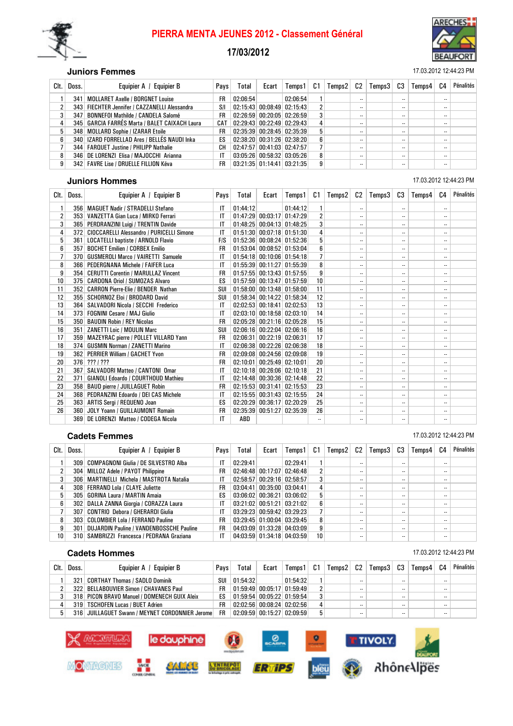

# PIERRA MENTA JEUNES 2012 - Classement Général

#### 17/03/2012



#### **Juniors Femmes** 17.03.2012 12:44:23 PM

| Clt.           | Doss. | Equipier A / Equipier B                         | Pays | Total    | Ecart | Temps1                           | C1 | Temps2 | C2      | Temps3 | C3                       | Temps4 | C4 | Pénalités |
|----------------|-------|-------------------------------------------------|------|----------|-------|----------------------------------|----|--------|---------|--------|--------------------------|--------|----|-----------|
|                | 341   | MOLLARET Axelle / BORGNET Louise                | FR   | 02:06:54 |       | 02:06:54                         |    |        |         |        | $\sim$                   |        | -- |           |
| 2 <sub>1</sub> |       | 343 FIECHTER Jennifer / CAZZANELLI Alessandra   | S/I  |          |       | $02:15:43$ 00:08:49 02:15:43     |    |        |         |        | $\overline{\phantom{a}}$ |        |    |           |
| 3              |       | 347   BONNEFOI Mathilde / CANDELA Salomé        | FR   |          |       | $02:26:59$ 00:20:05 02:26:59     | 3  |        | $\cdot$ |        | $\sim$                   |        | -- |           |
|                |       | 345   GARCIA FARRÉS Marta / BALET CAIXACH Laura | CAT  |          |       | $02:29:43$ 00:22:49 02:29:43     | 4  |        | $\cdot$ |        | $\overline{\phantom{a}}$ |        | -- |           |
| 5              |       | 348   MOLLARD Sophie / IZARAR Etoile            | FR   |          |       | $02:35:39$ 00:28:45 02:35:39     | 5  |        |         |        | $\overline{\phantom{a}}$ |        |    |           |
| 6              |       | 340   IZARD FORRELLAD Ares / BELLÉS NAUDI Inka  | ES   |          |       | $02:38:20$ $00:31:26$ $02:38:20$ | 6  |        |         |        | $\sim$                   |        | -- |           |
|                |       | 344   FARQUET Justine / PHILIPP Nathalie        | CН   |          |       | 02:47:57 00:41:03 02:47:57       |    |        | $\cdot$ |        | $\overline{\phantom{a}}$ |        |    |           |
| 8              |       | 346 DE LORENZI Elisa / MAJOCCHI Arianna         | ΙT   |          |       | $03:05:26$ 00:58:32 03:05:26     | 8  |        | $\cdot$ |        | $\cdot$ .                |        |    |           |
| 9              |       | 342 FAVRE Lise / DRUELLE FILLION Kéva           | FR   |          |       | $03:21:35$ 01:14:41 03:21:35     | 9  |        |         |        | $\overline{\phantom{a}}$ |        | -- |           |

#### **Juniors Hommes** 17.03.2012 12:44:23 PM

| Clt. | Doss.            | Equipier A / Equipier B                          | Pays         | Total    | Ecart                            | Temps 1                      | C1             | Temps2 | C2                       | Temps3 | C3                       | Temps4 | C4                       | Pénalités |
|------|------------------|--------------------------------------------------|--------------|----------|----------------------------------|------------------------------|----------------|--------|--------------------------|--------|--------------------------|--------|--------------------------|-----------|
| 1    | 356              | <b>MAGUET Nadir / STRADELLI Stefano</b>          | IT           | 01:44:12 |                                  | 01:44:12                     | 1              |        | $\ddotsc$                |        | $\ddotsc$                |        |                          |           |
| 2    | 353              | VANZETTA Gian Luca / MIRKO Ferrari               | IT           |          |                                  | 01:47:29 00:03:17 01:47:29   | $\overline{2}$ |        | $\ddotsc$                |        |                          |        |                          |           |
| 3    | 365              | PERDRANZINI Luigi / TRENTIN Davide               | IT           |          |                                  | 01:48:25 00:04:13 01:48:25   | 3              |        | $\ddotsc$                |        | $\ddotsc$                |        |                          |           |
| 4    | 372              | <b>CIOCCARELLI Alessandro / PURICELLI Simone</b> | IT           |          |                                  | 01:51:30 00:07:18 01:51:30   | 4              |        | $\ddotsc$                |        | $\ddotsc$                |        |                          |           |
| 5    | 361              | <b>LOCATELLI baptiste / ARNOLD Flavio</b>        | <b>FIS</b>   |          | 01:52:36 00:08:24 01:52:36       |                              | 5              |        | $\ddotsc$                |        | $\overline{\phantom{a}}$ |        |                          |           |
| 6    | 357              | <b>BOCHET Emilien / CORBEX Emilio</b>            | <b>FR</b>    | 01:53:04 |                                  | $00:08:52$ 01:53:04          | 6              |        | $\ddotsc$                |        | $\overline{\phantom{a}}$ |        |                          |           |
| 7    | 370              | <b>GUSMEROLI Marco / VAIRETTI Samuele</b>        | IT           |          | $01:54:18$ 00:10:06 01:54:18     |                              |                |        | $\ddotsc$                |        | $\ddotsc$                |        | $\ddotsc$                |           |
| 8    | 366              | <b>PEDERGNANA Michele / FAIFER Luca</b>          | IT           |          |                                  | 01:55:39 00:11:27 01:55:39   | 8              |        | $\ddotsc$                |        |                          |        | $\ddotsc$                |           |
| 9    | 354              | <b>CERUTTI Corentin / MARULLAZ Vincent</b>       | FR           |          |                                  | 01:57:55 00:13:43 01:57:55   | 9              |        | $\ddotsc$                |        |                          |        | $\ddotsc$                |           |
| 10   | 375              | <b>CARDONA Oriol / SUMOZAS Alvaro</b>            | ES           |          |                                  | $01:57:59$ 00:13:47 01:57:59 | 10             |        | $\ddotsc$                |        |                          |        |                          |           |
| 11   |                  | 352 CARRON Pierre-Elie / BENDER Nathan           | SUI          |          |                                  | $01:58:00$ 00:13:48 01:58:00 | 11             |        | $\ddotsc$                |        |                          |        |                          |           |
| 12   | 355 <sup>1</sup> | <b>SCHORNOZ Eloi / BRODARD David</b>             | SUI          |          |                                  | 01:58:34 00:14:22 01:58:34   | 12             |        | ٠.                       |        | $\ddotsc$                |        |                          |           |
| 13   | 364              | SALVADORI Nicola / SECCHI Frederico              | IT           |          | $02:02:53$ 00:18:41 02:02:53     |                              | 13             |        | ٠.                       |        | $\ddotsc$                |        | $\ddotsc$                |           |
| 14   | 373              | <b>FOGNINI Cesare / MAJ Giulio</b>               | IT           |          | $02:03:10$ 00:18:58 02:03:10     |                              | 14             |        | $\ddotsc$                |        | $\overline{\phantom{a}}$ |        | $\ddotsc$                |           |
| 15   | 350 <sup>1</sup> | <b>BAUDIN Robin / REY Nicolas</b>                | <b>FR</b>    |          | 02:05:28 00:21:16 02:05:28       |                              | 15             |        | $\ddotsc$                |        | $\ddotsc$                |        |                          |           |
| 16   | 351              | <b>ZANETTI Loic / MOULIN Marc</b>                | SUI          |          | 02:06:16 00:22:04 02:06:16       |                              | 16             |        | $\ddotsc$                |        |                          |        | $\ddotsc$                |           |
| 17   | 359 <sup>1</sup> | MAZEYRAC pierre / POLLET VILLARD Yann            | FR           | 02:06:31 |                                  | $00:22:19$ 02:06:31          | 17             |        | $\ddotsc$                |        | $\ddotsc$                |        |                          |           |
| 18   | 374              | <b>GUSMIN Norman / ZANETTI Marino</b>            | IT           |          | $02:06:38$ $00:22:26$ $02:06:38$ |                              | 18             |        | $\ddotsc$                |        |                          |        | $\ddotsc$                |           |
| 19   |                  | 362 PERRIER William / GACHET Yvon                | <b>FR</b>    |          |                                  | $02:09:08$ 00:24:56 02:09:08 | 19             |        | $\ddotsc$                |        |                          |        |                          |           |
| 20   |                  | $376$ ???   ???                                  | FR           | 02:10:01 |                                  | $00:25:49$ 02:10:01          | 20             |        | $\ddotsc$                |        |                          |        |                          |           |
| 21   | 367              | SALVADORI Matteo / CANTONI Omar                  | IT           |          | $02:10:18$ 00:26:06 02:10:18     |                              | 21             |        | $\ddotsc$                |        | $\ddotsc$                |        |                          |           |
| 22   | 371              | <b>GIANOLI Edoardo / COURTHOUD Mathieu</b>       | IT           |          | 02:14:48 00:30:36 02:14:48       |                              | 22             |        | $\ddotsc$                |        | $\overline{\phantom{a}}$ |        |                          |           |
| 23   | 358              | <b>BAUD pierre / JUILLAGUET Robin</b>            | <b>FR</b>    | 02:15:53 | $00:31:41$ 02:15:53              |                              | 23             |        | $\overline{\phantom{a}}$ |        | $\overline{\phantom{a}}$ |        |                          |           |
| 24   | 368              | PEDRANZINI Edoardo / DEI CAS Michele             | $\mathsf{I}$ |          | 02:15:55 00:31:43 02:15:55       |                              | 24             |        | $\ddotsc$                |        | $\ddotsc$                |        | $\overline{\phantom{a}}$ |           |
| 25   | 363              | ARTIS Sergi / REQUENO Joan                       | ES           |          | 02:20:29 00:36:17 02:20:29       |                              | 25             |        | $\ddotsc$                |        | $\ddotsc$                |        | $\ddotsc$                |           |
| 26   | 360              | JOLY Yoann / GUILLAUMONT Romain                  | <b>FR</b>    | 02:35:39 |                                  | $00:51:27$ 02:35:39          | 26             |        | $\ddotsc$                |        | $\ddotsc$                |        | $\ddotsc$                |           |
|      | 369              | DE LORENZI Matteo / CODEGA Nicola                | IT           | ABD      |                                  |                              |                |        | $\ddotsc$                |        |                          |        | $\ddotsc$                |           |

#### **Cadets Femmes** 17.03.2012 12:44:23 PM

#### Clt. Doss. Equipier A / Equipier B Pays Total Ecart Temps1 C1 Temps2 C2 Temps3 C3 Temps4 C4 Pénalités 1 309 COMPAGNONI Giulia / DE SILVESTRO Alba IIT | 02:29:41 02:29:41 1 - - | - | - | -2 304 MILLOZ Adele / PAYOT Philippine FR 02:46:48 00:17:07 02:46:48 2 -- - - - - - - - -<br>3 306 MARTINELLI Michela / MASTROTA Natalia IT 02:58:57 00:29:16 02:58:57 3 -- - - - - - -3 306 MARTINELLI Michela / MASTROTA Natalia IT 02:58:57 00:29:16 02:58:57 3 -- - - - -4 308 FERRAND Lola / CLAYE Juliette FR 03:04:41 00:35:00 03:04:41 4 -- -- -- 5 305 GORINA Laura / MARTIN Amaia ES 03:06:02 00:36:21 03:06:02 5 -- -- -- 6 302 DALLA ZANNA Giorgia / CORAZZA Laura IT 03:21:02 00:51:21 03:21:02 6 -- -- -- 7 307 CONTRIO Debora / GHERARDI Giulia IT 03:29:23 00:59:42 03:29:23 7 -- -- --

#### **Cadets Hommes** 17.03.2012 12:44:23 PM

| Clt. | Doss. | <b>Equipier B</b><br>Equipier A /               | Pays | Total    | Ecart | Temps 1                      | C1 | Temps $2 \mid C2 \mid$ |           | Temps3 | C3     | Temps4 | C4        | Pénalités |
|------|-------|-------------------------------------------------|------|----------|-------|------------------------------|----|------------------------|-----------|--------|--------|--------|-----------|-----------|
|      | 321   | CORTHAY Thomas / SADLO Dominik                  | SUI  | 01:54:32 |       | 01:54:32                     |    |                        | $\ddotsc$ |        | $\sim$ |        | $\cdot$   |           |
|      |       | 322 BELLABOUVIER Simon / CHAVANES Paul          | FR   |          |       | $01:59:49$ 00:05:17 01:59:49 |    |                        | $\ddotsc$ |        | $\sim$ |        | $\cdot$ . |           |
|      |       | 318 PICON BRAVO Manuel / DOMENECH GUIX Aleix    | ES   |          |       | $01:59:54$ 00:05:22 01:59:54 |    |                        | $\cdot$   |        | $\sim$ |        | $\cdot$ . |           |
|      |       | 319   TSCHOFEN Lucas / BUET Adrien              | FR   |          |       | $02:02:56$ 00:08:24 02:02:56 | 4  |                        | $\cdot$   |        |        |        | $\cdot$ . |           |
| 5    |       | 316 JUILLAGUET Swann / MEYNET CORDONNIER Jerome | FR   |          |       | $02:09:59$ 00:15:27 02:09:59 | 5  |                        | $\cdot$   |        | $- -$  |        | $\cdot$ . |           |

8 303 COLOMBIER Lola / FERRAND Pauline FR 03:29:45 01:00:04 03:29:45 8 -- -- -- 9 301 DUJARDIN Pauline / VANDENBOSSCHE Pauline FR 04:03:09 01:33:28 04:03:09 9 -- - - - - - - - - - - - - - - -10 310 SAMBRIZZI Francesca / PEDRANA Graziana IT 04:03:59 01:34:18 04:03:59 10 -- - - - - - - - - - - - - - -